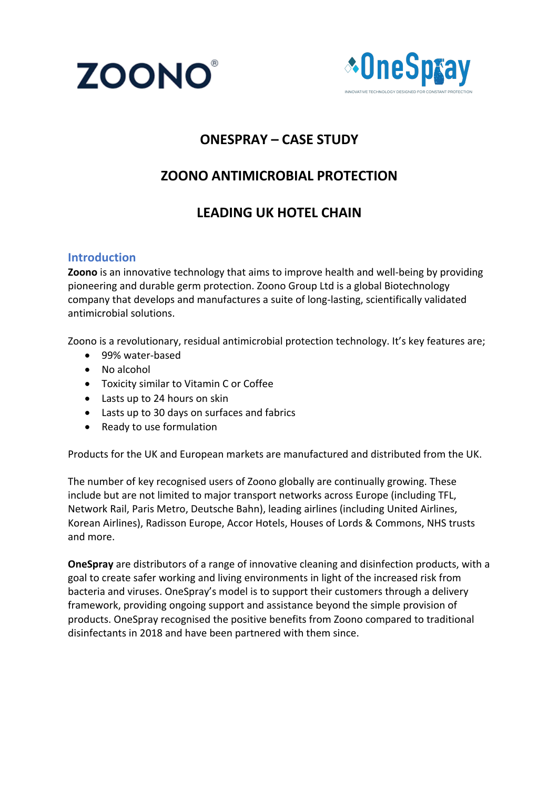



## **ONESPRAY – CASE STUDY**

## **ZOONO ANTIMICROBIAL PROTECTION**

## **LEADING UK HOTEL CHAIN**

#### **Introduction**

**Zoono** is an innovative technology that aims to improve health and well-being by providing pioneering and durable germ protection. Zoono Group Ltd is a global Biotechnology company that develops and manufactures a suite of long-lasting, scientifically validated antimicrobial solutions.

Zoono is a revolutionary, residual antimicrobial protection technology. It's key features are;

- 99% water-based
- No alcohol
- Toxicity similar to Vitamin C or Coffee
- Lasts up to 24 hours on skin
- Lasts up to 30 days on surfaces and fabrics
- Ready to use formulation

Products for the UK and European markets are manufactured and distributed from the UK.

The number of key recognised users of Zoono globally are continually growing. These include but are not limited to major transport networks across Europe (including TFL, Network Rail, Paris Metro, Deutsche Bahn), leading airlines (including United Airlines, Korean Airlines), Radisson Europe, Accor Hotels, Houses of Lords & Commons, NHS trusts and more.

**OneSpray** are distributors of a range of innovative cleaning and disinfection products, with a goal to create safer working and living environments in light of the increased risk from bacteria and viruses. OneSpray's model is to support their customers through a delivery framework, providing ongoing support and assistance beyond the simple provision of products. OneSpray recognised the positive benefits from Zoono compared to traditional disinfectants in 2018 and have been partnered with them since.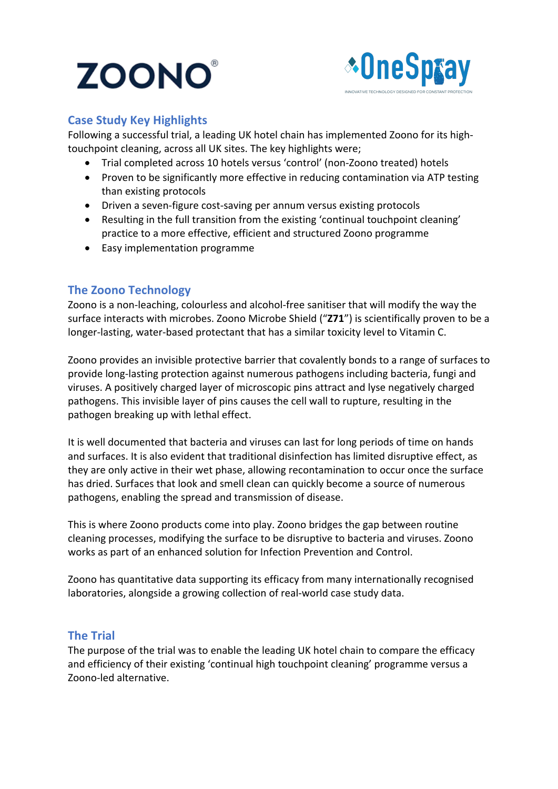# **ZOONO**



#### **Case Study Key Highlights**

Following a successful trial, a leading UK hotel chain has implemented Zoono for its hightouchpoint cleaning, across all UK sites. The key highlights were;

- Trial completed across 10 hotels versus 'control' (non-Zoono treated) hotels
- Proven to be significantly more effective in reducing contamination via ATP testing than existing protocols
- Driven a seven-figure cost-saving per annum versus existing protocols
- Resulting in the full transition from the existing 'continual touchpoint cleaning' practice to a more effective, efficient and structured Zoono programme
- Easy implementation programme

### **The Zoono Technology**

Zoono is a non-leaching, colourless and alcohol-free sanitiser that will modify the way the surface interacts with microbes. Zoono Microbe Shield ("**Z71**") is scientifically proven to be a longer-lasting, water-based protectant that has a similar toxicity level to Vitamin C.

Zoono provides an invisible protective barrier that covalently bonds to a range of surfaces to provide long-lasting protection against numerous pathogens including bacteria, fungi and viruses. A positively charged layer of microscopic pins attract and lyse negatively charged pathogens. This invisible layer of pins causes the cell wall to rupture, resulting in the pathogen breaking up with lethal effect.

It is well documented that bacteria and viruses can last for long periods of time on hands and surfaces. It is also evident that traditional disinfection has limited disruptive effect, as they are only active in their wet phase, allowing recontamination to occur once the surface has dried. Surfaces that look and smell clean can quickly become a source of numerous pathogens, enabling the spread and transmission of disease.

This is where Zoono products come into play. Zoono bridges the gap between routine cleaning processes, modifying the surface to be disruptive to bacteria and viruses. Zoono works as part of an enhanced solution for Infection Prevention and Control.

Zoono has quantitative data supporting its efficacy from many internationally recognised laboratories, alongside a growing collection of real-world case study data.

#### **The Trial**

The purpose of the trial was to enable the leading UK hotel chain to compare the efficacy and efficiency of their existing 'continual high touchpoint cleaning' programme versus a Zoono-led alternative.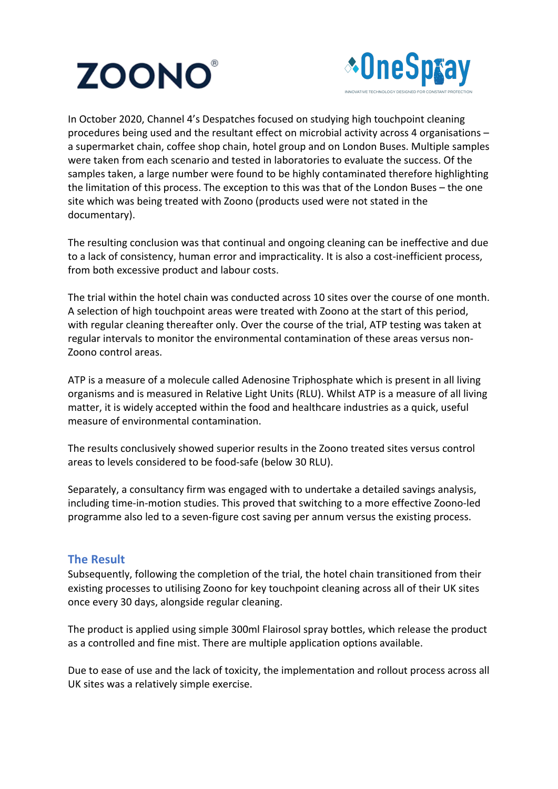



In October 2020, Channel 4's Despatches focused on studying high touchpoint cleaning procedures being used and the resultant effect on microbial activity across 4 organisations – a supermarket chain, coffee shop chain, hotel group and on London Buses. Multiple samples were taken from each scenario and tested in laboratories to evaluate the success. Of the samples taken, a large number were found to be highly contaminated therefore highlighting the limitation of this process. The exception to this was that of the London Buses – the one site which was being treated with Zoono (products used were not stated in the documentary).

The resulting conclusion was that continual and ongoing cleaning can be ineffective and due to a lack of consistency, human error and impracticality. It is also a cost-inefficient process, from both excessive product and labour costs.

The trial within the hotel chain was conducted across 10 sites over the course of one month. A selection of high touchpoint areas were treated with Zoono at the start of this period, with regular cleaning thereafter only. Over the course of the trial, ATP testing was taken at regular intervals to monitor the environmental contamination of these areas versus non-Zoono control areas.

ATP is a measure of a molecule called Adenosine Triphosphate which is present in all living organisms and is measured in Relative Light Units (RLU). Whilst ATP is a measure of all living matter, it is widely accepted within the food and healthcare industries as a quick, useful measure of environmental contamination.

The results conclusively showed superior results in the Zoono treated sites versus control areas to levels considered to be food-safe (below 30 RLU).

Separately, a consultancy firm was engaged with to undertake a detailed savings analysis, including time-in-motion studies. This proved that switching to a more effective Zoono-led programme also led to a seven-figure cost saving per annum versus the existing process.

#### **The Result**

Subsequently, following the completion of the trial, the hotel chain transitioned from their existing processes to utilising Zoono for key touchpoint cleaning across all of their UK sites once every 30 days, alongside regular cleaning.

The product is applied using simple 300ml Flairosol spray bottles, which release the product as a controlled and fine mist. There are multiple application options available.

Due to ease of use and the lack of toxicity, the implementation and rollout process across all UK sites was a relatively simple exercise.